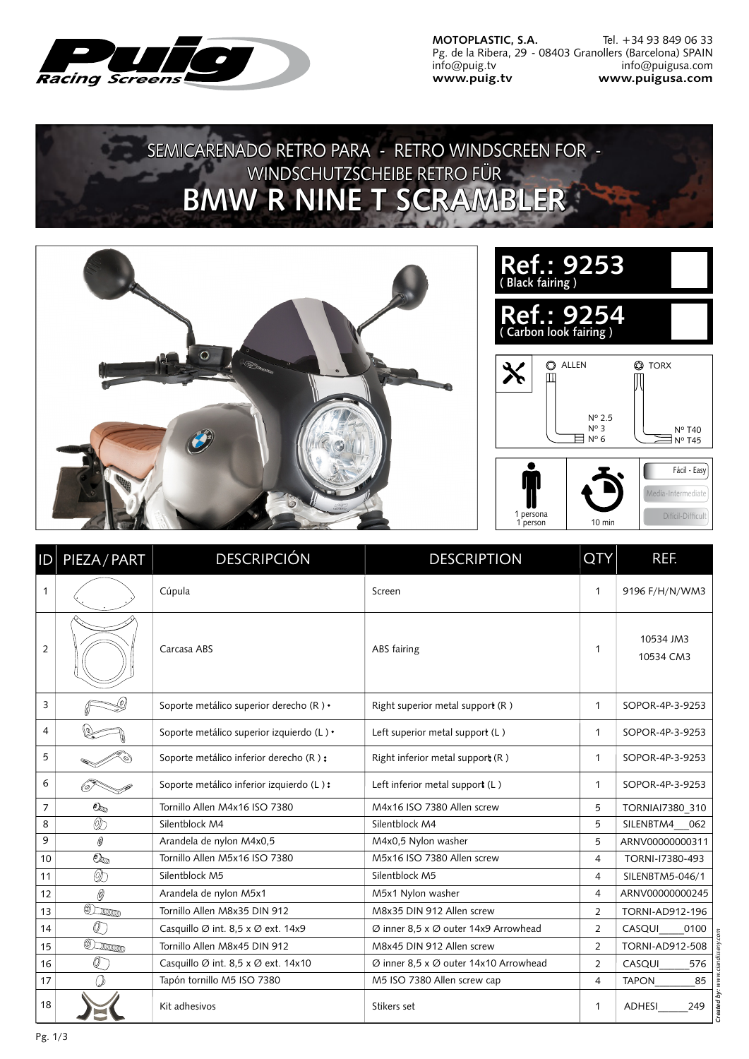

**MOTOPLASTIC, S.A.** Pg. de la Ribera, 29 - 08403 Granollers (Barcelona) SPAIN info@puig.tv **www.puig.tv** Tel. +34 93 849 06 33 info@puigusa.com **www.puigusa.com**

## SEMICARENADO RETRO PARA - RETRO WINDSCREEN FOR -WINDSCHUTZSCHEIBE RETRO FÜR **BMW R NINE T SCRAMBLER**





| D              | PIEZA / PART              | <b>DESCRIPCIÓN</b>                        | <b>DESCRIPTION</b>                    | <b>QTY</b>     | REF.                   |
|----------------|---------------------------|-------------------------------------------|---------------------------------------|----------------|------------------------|
| $\mathbf{1}$   |                           | Cúpula                                    | Screen                                | $\mathbf{1}$   | 9196 F/H/N/WM3         |
| $\overline{2}$ |                           | Carcasa ABS                               | ABS fairing                           | 1              | 10534 JM3<br>10534 CM3 |
| 3              |                           | Soporte metálico superior derecho (R) •   | Right superior metal support (R)      | $\mathbf{1}$   | SOPOR-4P-3-9253        |
| 4              |                           | Soporte metálico superior izquierdo (L) • | Left superior metal support (L)       | $\mathbf{1}$   | SOPOR-4P-3-9253        |
| 5              |                           | Soporte metálico inferior derecho (R):    | Right inferior metal support (R)      | $\mathbf{1}$   | SOPOR-4P-3-9253        |
| 6              |                           | Soporte metálico inferior izquierdo (L):  | Left inferior metal support $(L)$     | $\mathbf{1}$   | SOPOR-4P-3-9253        |
| 7              | $\mathcal{O}_\mathcal{D}$ | Tornillo Allen M4x16 ISO 7380             | M4x16 ISO 7380 Allen screw            | 5              | TORNIAI7380 310        |
| 8              | Qc                        | Silentblock M4                            | Silentblock M4                        | 5              | SILENBTM4<br>062       |
| 9              | 0                         | Arandela de nylon M4x0,5                  | M4x0,5 Nylon washer                   | 5              | ARNV00000000311        |
| 10             | $\mathbb{O}_\mathbb{D}$   | Tornillo Allen M5x16 ISO 7380             | M5x16 ISO 7380 Allen screw            | $\overline{4}$ | TORNI-17380-493        |
| 11             | 05                        | Silentblock M5                            | Silentblock M5                        | $\overline{4}$ | SILENBTM5-046/1        |
| 12             | 0                         | Arandela de nylon M5x1                    | M5x1 Nylon washer                     | 4              | ARNV00000000245        |
| 13             | Olumn                     | Tornillo Allen M8x35 DIN 912              | M8x35 DIN 912 Allen screw             | $\overline{2}$ | <b>TORNI-AD912-196</b> |
| 14             | $\mathbb{Q}$ ,            | Casquillo Ø int. 8,5 x Ø ext. 14x9        | Ø inner 8,5 x Ø outer 14x9 Arrowhead  | $\overline{2}$ | CASQUI<br>0100         |
| 15             | <b>ODILLE</b>             | Tornillo Allen M8x45 DIN 912              | M8x45 DIN 912 Allen screw             | $\overline{2}$ | TORNI-AD912-508        |
| 16             | O                         | Casquillo Ø int. 8,5 x Ø ext. 14x10       | Ø inner 8,5 x Ø outer 14x10 Arrowhead | $\overline{2}$ | CASQUI<br>576          |
| 17             | ')                        | Tapón tornillo M5 ISO 7380                | M5 ISO 7380 Allen screw cap           | 4              | <b>TAPON</b><br>85     |
| 18             |                           | Kit adhesivos                             | Stikers set                           | $\mathbf{1}$   | <b>ADHESI</b><br>249   |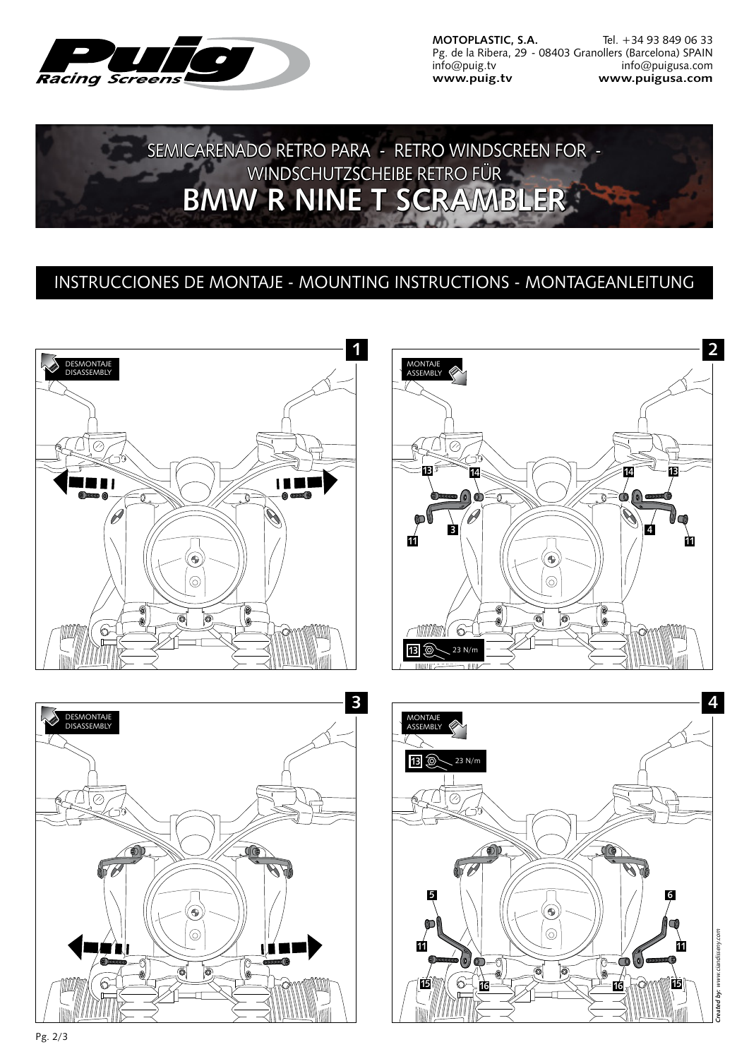

**MOTOPLASTIC, S.A.** Pg. de la Ribera, 29 - 08403 Granollers (Barcelona) SPAIN info@puig.tv **www.puig.tv** Tel. +34 93 849 06 33 info@puigusa.com **www.puigusa.com**

SEMICARENADO RETRO PARA - RETRO WINDSCREEN FOR -WINDSCHUTZSCHEIBE RETRO FÜR **BMW R NINE T SCRAMBLER** 

## INSTRUCCIONES DE MONTAJE - MOUNTING INSTRUCTIONS - MONTAGEANLEITUNG



Pg. 2/3